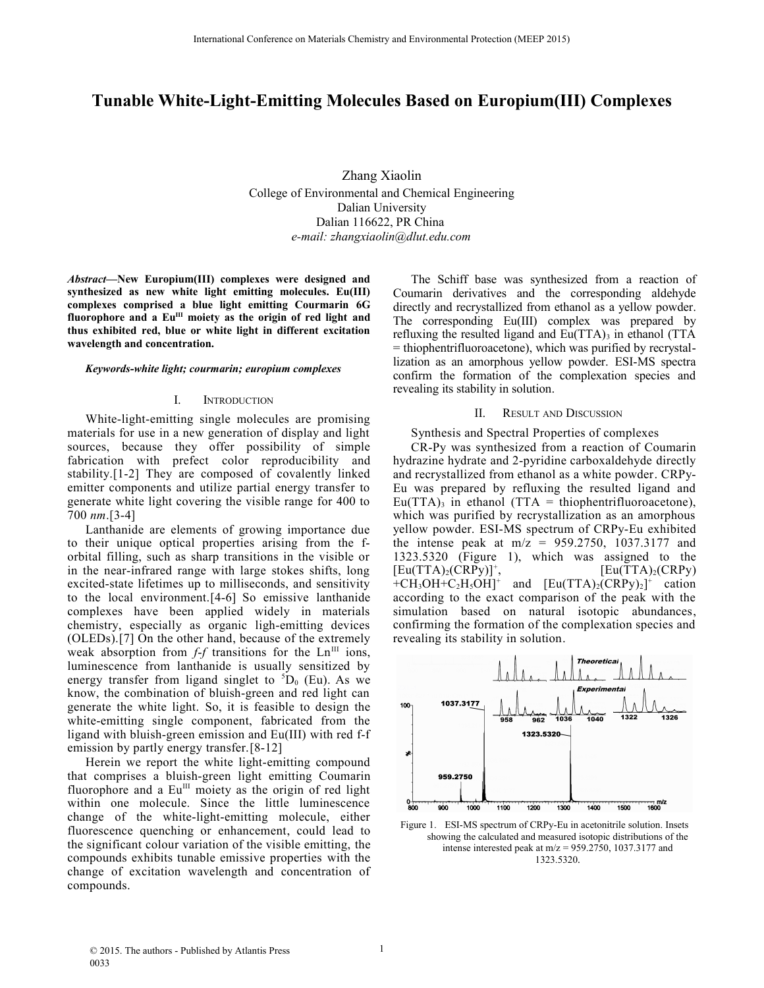# **Tunable White-Light-Emitting Molecules Based on Europium(III) Complexes**

Zhang Xiaolin College of Environmental and Chemical Engineering Dalian University Dalian 116622, PR China *e-mail: zhangxiaolin@dlut.edu.com* 

*Abstract***—New Europium(III) complexes were designed and synthesized as new white light emitting molecules. Eu(III) complexes comprised a blue light emitting Courmarin 6G fluorophore and a EuIII moiety as the origin of red light and thus exhibited red, blue or white light in different excitation wavelength and concentration.**

## *Keywords-white light; courmarin; europium complexes*

## I. INTRODUCTION

White-light-emitting single molecules are promising materials for use in a new generation of display and light sources, because they offer possibility of simple fabrication with prefect color reproducibility and stability.[1-2] They are composed of covalently linked emitter components and utilize partial energy transfer to generate white light covering the visible range for 400 to 700 *nm*.[3-4]

Lanthanide are elements of growing importance due to their unique optical properties arising from the forbital filling, such as sharp transitions in the visible or in the near-infrared range with large stokes shifts, long excited-state lifetimes up to milliseconds, and sensitivity to the local environment.[4-6] So emissive lanthanide complexes have been applied widely in materials chemistry, especially as organic ligh-emitting devices (OLEDs).[7] On the other hand, because of the extremely weak absorption from  $f-f$  transitions for the  $Ln^{III}$  ions, luminescence from lanthanide is usually sensitized by energy transfer from ligand singlet to  ${}^5D_0$  (Eu). As we know, the combination of bluish-green and red light can generate the white light. So, it is feasible to design the white-emitting single component, fabricated from the ligand with bluish-green emission and Eu(III) with red f-f emission by partly energy transfer.[8-12]

Herein we report the white light-emitting compound that comprises a bluish-green light emitting Coumarin fluorophore and a  $Eu^{III}$  moiety as the origin of red light within one molecule. Since the little luminescence change of the white-light-emitting molecule, either fluorescence quenching or enhancement, could lead to the significant colour variation of the visible emitting, the compounds exhibits tunable emissive properties with the change of excitation wavelength and concentration of compounds.

The Schiff base was synthesized from a reaction of Coumarin derivatives and the corresponding aldehyde directly and recrystallized from ethanol as a yellow powder. The corresponding Eu(III) complex was prepared by refluxing the resulted ligand and  $Eu(TTA)$ <sub>3</sub> in ethanol (TTA)<sup>3</sup> = thiophentrifluoroacetone), which was purified by recrystallization as an amorphous yellow powder. ESI-MS spectra confirm the formation of the complexation species and revealing its stability in solution.

## II. RESULT AND DISCUSSION

Synthesis and Spectral Properties of complexes

CR-Py was synthesized from a reaction of Coumarin [hydrazine hydrate](app:ds:hydrazine%20hydrate) and 2-pyridine carboxaldehyde directly and recrystallized from ethanol as a white powder. CRPy-Eu was prepared by refluxing the resulted ligand and  $Eu(TTA)$ <sub>3</sub> in ethanol (TTA = thiophentrifluoroacetone), which was purified by recrystallization as an amorphous yellow powder. ESI-MS spectrum of CRPy-Eu exhibited the intense peak at  $m/z = 959.2750$ , 1037.3177 and 1323.5320 (Figure 1), which was assigned to the  $[Eu(TTA)<sub>2</sub>(CRPy)]^{+}$ ,  $[Eu(TTA)<sub>2</sub>(CRPy)]$  $+CH<sub>3</sub>OH + C<sub>2</sub>H<sub>5</sub>OH$ <sup>+</sup> and  $[Eu(TTA)<sub>2</sub>(CRPy)<sub>2</sub>$ <sup>+</sup> cation according to the exact comparison of the peak with the simulation based on natural isotopic abundances, confirming the formation of the complexation species and revealing its stability in solution.



Figure 1. ESI-MS spectrum of CRPy-Eu in acetonitrile solution. Insets showing the calculated and measured isotopic distributions of the intense interested peak at  $m/z = 959.2750$ , 1037.3177 and 1323.5320.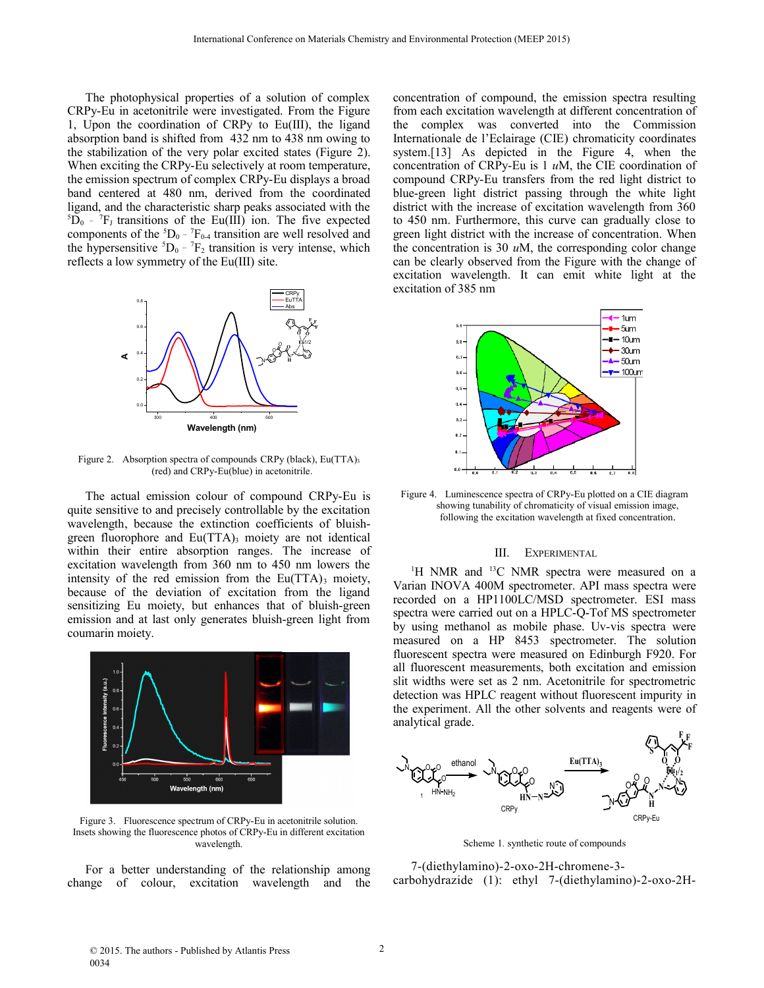The photophysical properties of a solution of complex CRPy-Eu in acetonitrile were investigated. From the Figure 1, Upon the coordination of CRPy to Eu(III), the ligand absorption band is shifted from 432 nm to 438 nm owing to the stabilization of the very polar excited states (Figure 2). When exciting the CRPy-Eu selectively at room temperature, the emission spectrum of complex CRPy-Eu displays a broad band centered at 480 nm, derived from the coordinated ligand, and the characteristic sharp peaks associated with the  ${}^{5}\text{D}_{0}$  -  ${}^{7}\text{F}_{J}$  transitions of the Eu(III) ion. The five expected components of the  ${}^5D_0$  -  ${}^7F_{0.4}$  transition are well resolved and the hypersensitive  ${}^5D_0$  -  ${}^7F_2$  transition is very intense, which reflects a low symmetry of the Eu(III) site.



Figure 2. Absorption spectra of compounds CRPy (black), Eu(TTA)<sub>3</sub> (red) and CRPy-Eu(blue) in acetonitrile.

The actual emission colour of compound CRPy-Eu is quite sensitive to and precisely controllable by the excitation wavelength, because the extinction coefficients of bluishgreen fluorophore and  $Eu(TTA)$ <sub>3</sub> moiety are not identical within their entire absorption ranges. The increase of excitation wavelength from 360 nm to 450 nm lowers the intensity of the red emission from the  $Eu(TTA)$ <sub>3</sub> moiety, because of the deviation of excitation from the ligand sensitizing Eu moiety, but enhances that of bluish-green emission and at last only generates bluish-green light from coumarin moiety.



Figure 3. Fluorescence spectrum of CRPy-Eu in acetonitrile solution. Insets showing the fluorescence photos of CRPy-Eu in different excitation wavelength.

For a better understanding of the relationship among change of colour, excitation wavelength and the

concentration of compound, the emission spectra resulting from each excitation wavelength at different concentration of the complex was converted into the Commission Internationale de l'Eclairage (CIE) chromaticity coordinates system.<sup>[13]</sup> As depicted in the Figure 4, when the concentration of CRPy-Eu is 1 *u*M, the CIE coordination of compound CRPy-Eu transfers from the red light district to blue-green light district passing through the white light district with the increase of excitation wavelength from 360 to 450 nm. Furthermore, this curve can gradually close to green light district with the increase of concentration. When the concentration is 30 *u*M, the corresponding color change can be clearly observed from the Figure with the change of excitation wavelength. It can emit white light at the excitation of 385 nm



Figure 4. Luminescence spectra of CRPy-Eu plotted on a CIE diagram showing tunability of chromaticity of visual emission image, following the excitation wavelength at fixed concentration.

#### III. EXPERIMENTAL

 ${}^{1}$ H NMR and  ${}^{13}$ C NMR spectra were measured on a Varian INOVA 400M spectrometer. API mass spectra were recorded on a HP1100LC/MSD spectrometer. ESI mass spectra were carried out on a HPLC-Q-Tof MS spectrometer by using methanol as mobile phase. Uv-vis spectra were measured on a HP 8453 spectrometer. The solution fluorescent spectra were measured on Edinburgh F920. For all fluorescent measurements, both excitation and emission slit widths were set as 2 nm. Acetonitrile for spectrometric detection was HPLC reagent without fluorescent impurity in the experiment. All the other solvents and reagents were of analytical grade.



Scheme 1*.* synthetic route of compounds

7-(diethylamino)-2-oxo-2H-chromene-3 carbohydrazide (1): ethyl 7-(diethylamino)-2-oxo-2H-